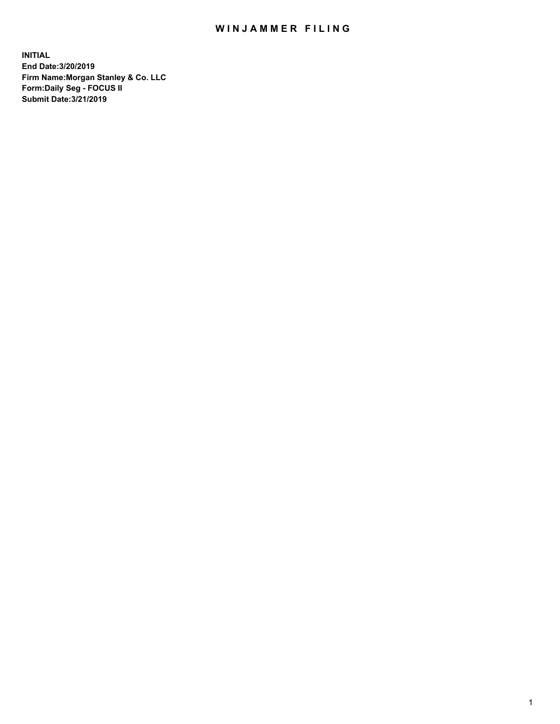## WIN JAMMER FILING

**INITIAL End Date:3/20/2019 Firm Name:Morgan Stanley & Co. LLC Form:Daily Seg - FOCUS II Submit Date:3/21/2019**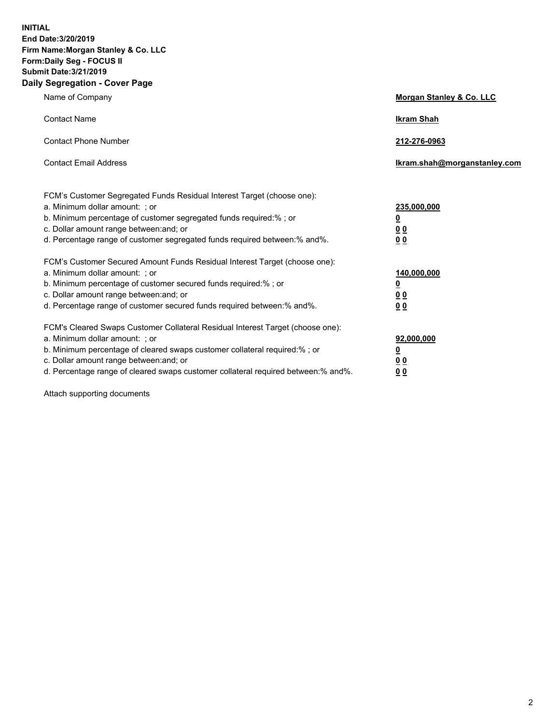**INITIAL End Date:3/20/2019 Firm Name:Morgan Stanley & Co. LLC Form:Daily Seg - FOCUS II Submit Date:3/21/2019 Daily Segregation - Cover Page**

| Name of Company                                                                   | Morgan Stanley & Co. LLC     |
|-----------------------------------------------------------------------------------|------------------------------|
| <b>Contact Name</b>                                                               | <b>Ikram Shah</b>            |
| <b>Contact Phone Number</b>                                                       | 212-276-0963                 |
| <b>Contact Email Address</b>                                                      | Ikram.shah@morganstanley.com |
| FCM's Customer Segregated Funds Residual Interest Target (choose one):            |                              |
| a. Minimum dollar amount: ; or                                                    | 235,000,000                  |
| b. Minimum percentage of customer segregated funds required:% ; or                | <u>0</u>                     |
| c. Dollar amount range between: and; or                                           | <u>0 0</u>                   |
| d. Percentage range of customer segregated funds required between: % and %.       | 00                           |
| FCM's Customer Secured Amount Funds Residual Interest Target (choose one):        |                              |
| a. Minimum dollar amount: ; or                                                    | 140,000,000                  |
| b. Minimum percentage of customer secured funds required:%; or                    | <u>0</u>                     |
| c. Dollar amount range between: and; or                                           | 0 <sub>0</sub>               |
| d. Percentage range of customer secured funds required between:% and%.            | 0 <sub>0</sub>               |
| FCM's Cleared Swaps Customer Collateral Residual Interest Target (choose one):    |                              |
| a. Minimum dollar amount: ; or                                                    | 92,000,000                   |
| b. Minimum percentage of cleared swaps customer collateral required:% ; or        | <u>0</u>                     |
| c. Dollar amount range between: and; or                                           | 0 Q                          |
| d. Percentage range of cleared swaps customer collateral required between:% and%. | 00                           |

Attach supporting documents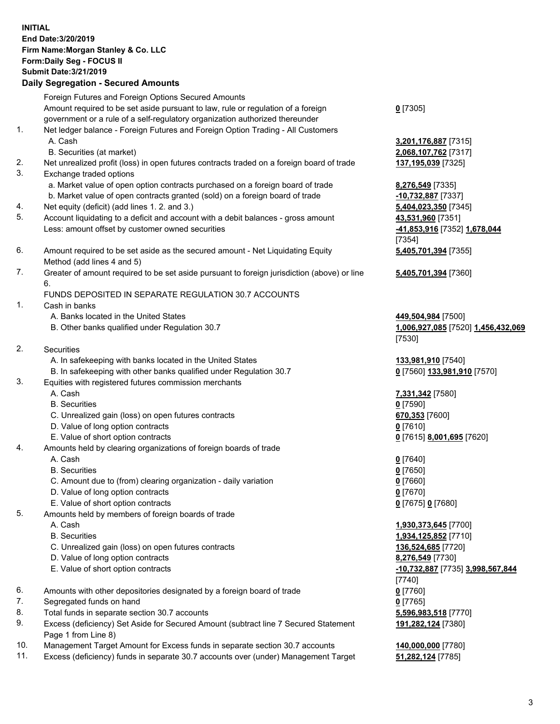## **INITIAL End Date:3/20/2019 Firm Name:Morgan Stanley & Co. LLC Form:Daily Seg - FOCUS II Submit Date:3/21/2019 Daily Segregation - Secured Amounts** Foreign Futures and Foreign Options Secured Amounts Amount required to be set aside pursuant to law, rule or regulation of a foreign government or a rule of a self-regulatory organization authorized thereunder 1. Net ledger balance - Foreign Futures and Foreign Option Trading - All Customers A. Cash **3,201,176,887** [7315] B. Securities (at market) **2,068,107,762** [7317] 2. Net unrealized profit (loss) in open futures contracts traded on a foreign board of trade **137,195,039** [7325] 3. Exchange traded options a. Market value of open option contracts purchased on a foreign board of trade **8,276,549** [7335] b. Market value of open contracts granted (sold) on a foreign board of trade **-10,732,887** [7337] 4. Net equity (deficit) (add lines 1. 2. and 3.) **5,404,023,350** [7345] 5. Account liquidating to a deficit and account with a debit balances - gross amount **43,531,960** [7351] Less: amount offset by customer owned securities **-41,853,916** [7352] **1,678,044** 6. Amount required to be set aside as the secured amount - Net Liquidating Equity Method (add lines 4 and 5) 7. Greater of amount required to be set aside pursuant to foreign jurisdiction (above) or line 6. FUNDS DEPOSITED IN SEPARATE REGULATION 30.7 ACCOUNTS

- 1. Cash in banks
	- A. Banks located in the United States **449,504,984** [7500]
	- B. Other banks qualified under Regulation 30.7 **1,006,927,085** [7520] **1,456,432,069**
- 2. Securities
	- A. In safekeeping with banks located in the United States **133,981,910** [7540]
	- B. In safekeeping with other banks qualified under Regulation 30.7 **0** [7560] **133,981,910** [7570]
- 3. Equities with registered futures commission merchants
	-
	- B. Securities **0** [7590]
	- C. Unrealized gain (loss) on open futures contracts **670,353** [7600]
	- D. Value of long option contracts **0** [7610]
- E. Value of short option contracts **0** [7615] **8,001,695** [7620]
- 4. Amounts held by clearing organizations of foreign boards of trade
	- A. Cash **0** [7640]
	- B. Securities **0** [7650]
	- C. Amount due to (from) clearing organization daily variation **0** [7660]
	- D. Value of long option contracts **0** [7670]
	- E. Value of short option contracts **0** [7675] **0** [7680]
- 5. Amounts held by members of foreign boards of trade
	-
	-
	- C. Unrealized gain (loss) on open futures contracts **136,524,685** [7720]
	- D. Value of long option contracts **8,276,549** [7730]
	- E. Value of short option contracts **-10,732,887** [7735] **3,998,567,844**
- 6. Amounts with other depositories designated by a foreign board of trade **0** [7760]
- 7. Segregated funds on hand **0** [7765]
- 8. Total funds in separate section 30.7 accounts **5,596,983,518** [7770]
- 9. Excess (deficiency) Set Aside for Secured Amount (subtract line 7 Secured Statement Page 1 from Line 8)
- 10. Management Target Amount for Excess funds in separate section 30.7 accounts **140,000,000** [7780]
- 11. Excess (deficiency) funds in separate 30.7 accounts over (under) Management Target **51,282,124** [7785]

**0** [7305]

[7354] **5,405,701,394** [7355]

**5,405,701,394** [7360]

[7530]

A. Cash **7,331,342** [7580]

 A. Cash **1,930,373,645** [7700] B. Securities **1,934,125,852** [7710] [7740] **191,282,124** [7380]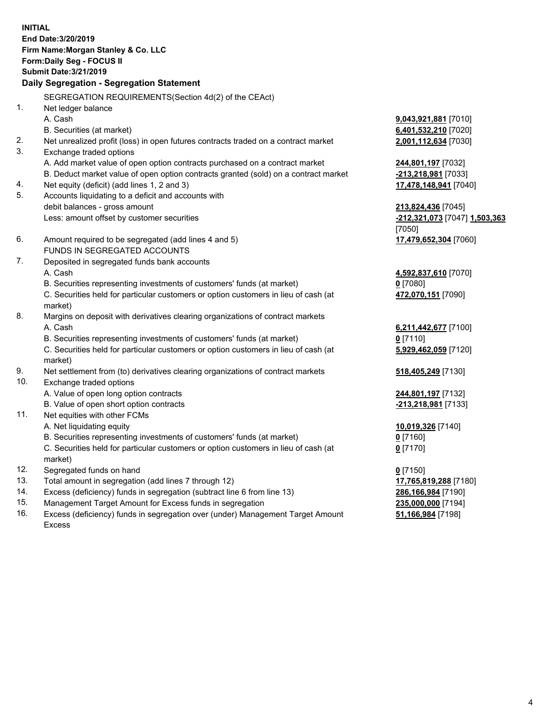**INITIAL End Date:3/20/2019 Firm Name:Morgan Stanley & Co. LLC Form:Daily Seg - FOCUS II Submit Date:3/21/2019 Daily Segregation - Segregation Statement** SEGREGATION REQUIREMENTS(Section 4d(2) of the CEAct) 1. Net ledger balance A. Cash **9,043,921,881** [7010] B. Securities (at market) **6,401,532,210** [7020] 2. Net unrealized profit (loss) in open futures contracts traded on a contract market **2,001,112,634** [7030] 3. Exchange traded options A. Add market value of open option contracts purchased on a contract market **244,801,197** [7032] B. Deduct market value of open option contracts granted (sold) on a contract market **-213,218,981** [7033] 4. Net equity (deficit) (add lines 1, 2 and 3) **17,478,148,941** [7040] 5. Accounts liquidating to a deficit and accounts with debit balances - gross amount **213,824,436** [7045] Less: amount offset by customer securities **-212,321,073** [7047] **1,503,363** [7050] 6. Amount required to be segregated (add lines 4 and 5) **17,479,652,304** [7060] FUNDS IN SEGREGATED ACCOUNTS 7. Deposited in segregated funds bank accounts A. Cash **4,592,837,610** [7070] B. Securities representing investments of customers' funds (at market) **0** [7080] C. Securities held for particular customers or option customers in lieu of cash (at market) **472,070,151** [7090] 8. Margins on deposit with derivatives clearing organizations of contract markets A. Cash **6,211,442,677** [7100] B. Securities representing investments of customers' funds (at market) **0** [7110] C. Securities held for particular customers or option customers in lieu of cash (at market) **5,929,462,059** [7120] 9. Net settlement from (to) derivatives clearing organizations of contract markets **518,405,249** [7130] 10. Exchange traded options A. Value of open long option contracts **244,801,197** [7132] B. Value of open short option contracts **-213,218,981** [7133] 11. Net equities with other FCMs A. Net liquidating equity **10,019,326** [7140] B. Securities representing investments of customers' funds (at market) **0** [7160] C. Securities held for particular customers or option customers in lieu of cash (at market) **0** [7170] 12. Segregated funds on hand **0** [7150] 13. Total amount in segregation (add lines 7 through 12) **17,765,819,288** [7180] 14. Excess (deficiency) funds in segregation (subtract line 6 from line 13) **286,166,984** [7190]

- 15. Management Target Amount for Excess funds in segregation **235,000,000** [7194]
- 16. Excess (deficiency) funds in segregation over (under) Management Target Amount Excess

**51,166,984** [7198]